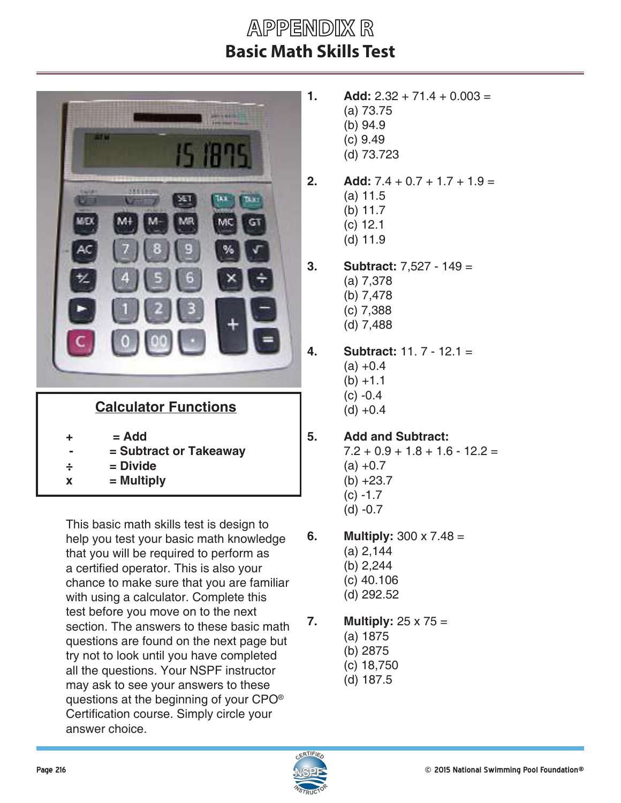## **APPENDIX R Basic Math Skills Test**

| 四村市<br><b>FREE</b><br>an M<br><b>Registry</b><br>lys.<br>TA 10<br>wee<br>MC<br>GT<br>9<br>ŧ<br>90<br>ă |
|--------------------------------------------------------------------------------------------------------|
| <b>Calculator Functions</b>                                                                            |
| $= Add$<br>÷<br>= Subtract or Takeaway<br>= Divide<br>$\div$<br>= Multiply<br>$\overline{\mathbf{X}}$  |

This basic math skills test is design to help you test your basic math knowledge that you will be required to perform as a certified operator. This is also your chance to make sure that you are familiar with using a calculator. Complete this test before you move on to the next section. The answers to these basic math questions are found on the next page but try not to look until you have completed all the questions. Your NSPF instructor may ask to see your answers to these questions at the beginning of your CPO® Certification course. Simply circle your answer choice.

- **1. Add:**  $2.32 + 71.4 + 0.003 =$ (a) 73.75 (b) 94.9 (c) 9.49 (d) 73.723
- **2. Add:**  $7.4 + 0.7 + 1.7 + 1.9 =$ (a) 11.5
	- (b) 11.7
	- (c) 12.1
	- (d) 11.9
- **3. Subtract:** 7,527 149 = (a) 7,378 (b) 7,478 (c) 7,388 (d) 7,488
- **4. Subtract:** 11. 7 12.1 =  $(a) +0.4$  $(b) +1.1$  $(c) -0.4$  $(d) +0.4$

## **5. Add and Subtract:**

 $7.2 + 0.9 + 1.8 + 1.6 - 12.2 =$  $(a) +0.7$  $(b) +23.7$  $(c) -1.7$ (d) -0.7

- **6. Multiply:** 300 x 7.48 = (a) 2,144 (b) 2,244
	- (c) 40.106
	- (d) 292.52
- **7. Multiply:** 25 x 75 =
	- (a) 1875
	- (b) 2875
	- (c) 18,750
	- (d) 187.5